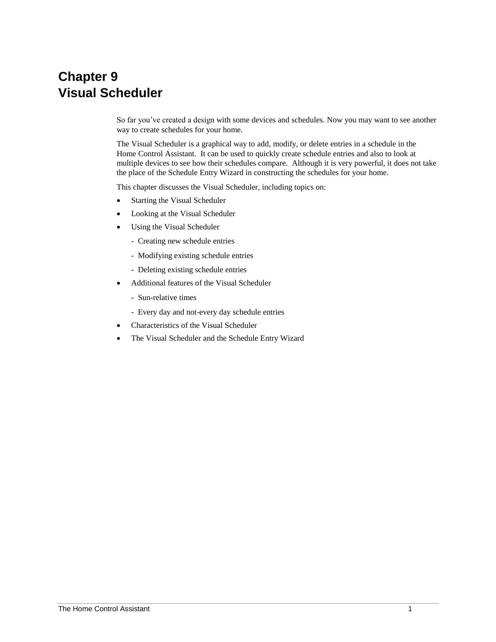# **Chapter 9 Visual Scheduler**

So far you've created a design with some devices and schedules. Now you may want to see another way to create schedules for your home.

The Visual Scheduler is a graphical way to add, modify, or delete entries in a schedule in the Home Control Assistant. It can be used to quickly create schedule entries and also to look at multiple devices to see how their schedules compare. Although it is very powerful, it does not take the place of the Schedule Entry Wizard in constructing the schedules for your home.

This chapter discusses the Visual Scheduler, including topics on:

- Starting the Visual Scheduler
- Looking at the Visual Scheduler
- Using the Visual Scheduler
	- Creating new schedule entries
	- Modifying existing schedule entries
	- Deleting existing schedule entries
- Additional features of the Visual Scheduler
	- Sun-relative times
	- Every day and not-every day schedule entries
- Characteristics of the Visual Scheduler
- The Visual Scheduler and the Schedule Entry Wizard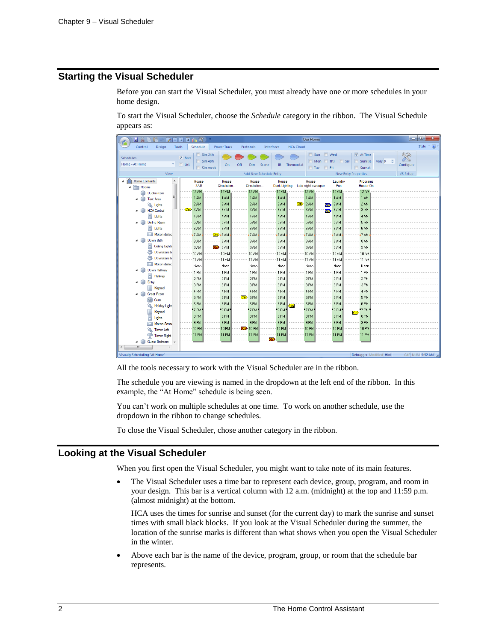# **Starting the Visual Scheduler**

Before you can start the Visual Scheduler, you must already have one or more schedules in your home design.

To start the Visual Scheduler, choose the *Schedule* category in the ribbon. The Visual Schedule appears as:

| HX BIB                                                |                       | 217777                                              |                    |                                                      |                                | Our Home                                                                      |                                                                                                                                                   | $\mathbf{x}$<br>l a la                    |
|-------------------------------------------------------|-----------------------|-----------------------------------------------------|--------------------|------------------------------------------------------|--------------------------------|-------------------------------------------------------------------------------|---------------------------------------------------------------------------------------------------------------------------------------------------|-------------------------------------------|
| Control<br>Design                                     | <b>Tools</b>          | Schedule                                            | <b>Power Track</b> | Protocols                                            | Interfaces<br><b>HCA Cloud</b> |                                                                               |                                                                                                                                                   | Style $\rightarrow$ $\odot$ $\rightarrow$ |
| <b>Schedules</b><br>Home - At Home<br>View            | V Bars<br>$\Box$ List | $\Box$ Sim 24h<br>$\Box$ Sim 48h<br>$\Box$ Sim week | On                 | Off<br>Scene<br><b>Dim</b><br>Add New Schedule Entry | <b>IR</b><br>Thermostat        | $\Box$ Sun<br>$\Box$ Wed<br>$\Box$ Mon<br>$\Box$ Ths<br>$F$ Fri<br>$\Box$ Tue | $\triangledown$ At Time<br>$\ddot{\phantom{1}}$<br>$\Box$ Sat<br>$\Box$ Sunrise<br>Vary 0<br>$\boxed{\Box}$ Sunset<br><b>New Entry Properties</b> | R<br>Configure<br>VS Setup                |
| A Home Contents<br>$\lambda$                          |                       | House                                               | House              | House                                                | House                          | House<br>Laundry                                                              | Programs                                                                                                                                          |                                           |
| <b>Rooms</b><br>$\pmb{\Delta}$                        |                       | 3AM                                                 | Circulation        | Circulation                                          | <b>Dusk Lighting</b>           | Late night sweeper<br>Fan                                                     | <b>Heater On</b>                                                                                                                                  |                                           |
| Ducks room<br>Ξ                                       |                       | 12 AM                                               | <b>12 AM</b>       | 12 AM                                                | <b>12 AM</b>                   | 12 AM<br>12 AM                                                                | 12 AM                                                                                                                                             |                                           |
| <b>Test Area</b>                                      |                       | 1 AM                                                | 1 AM               | 1 AM                                                 | 1 AM                           | 1 AM<br>1 AM                                                                  | 1 AM                                                                                                                                              |                                           |
| Lights                                                | $\sqrt{2n}$           | 2AM<br>3 AM                                         | 2AM<br>3 AM        | 2 AM<br>3 AM                                         | 2 AM<br>$\overline{on}$<br>3AM | 2AM<br>2 AM<br>Scn.<br>3 AM<br>3 AM                                           | 2 AM<br>3 AM                                                                                                                                      |                                           |
| <b>HCA</b> Central<br>П<br>Lights                     |                       | 4 AM                                                | 4 AM               | 4 AM                                                 | 4 AM                           | Scn.<br>4 AM<br>4 AM                                                          | 4 AM                                                                                                                                              |                                           |
| <b>Dining Room</b>                                    |                       | 5 AM                                                | 5 AM               | 5AM                                                  | 5AM                            | 5 AM<br>5 AM                                                                  | 5AM                                                                                                                                               |                                           |
| н<br>Lights                                           |                       | 6 AM                                                | 6 AM               | 6 AM                                                 | 6 AM                           | 6 AM<br>6 AM                                                                  | 6 AM                                                                                                                                              |                                           |
| Motion detec                                          |                       | 7 AM                                                | $On$ -7 AM         | 7AM                                                  | $-7AM$                         | 7 AM<br>$-7AM$                                                                | $-7AM$                                                                                                                                            |                                           |
| Down Bath                                             |                       | 8 AM                                                | 8 AM               | 8 AM                                                 | 8 AM                           | 8 AM<br>8 AM                                                                  | 8 AM                                                                                                                                              |                                           |
| П<br><b>Ceiling Lights</b>                            |                       | 9 AM                                                | 9 AM<br><b>Off</b> | 9 AM                                                 | 9 AM                           | 9 AM<br>9 AM                                                                  | 9 AM                                                                                                                                              |                                           |
| ő<br>Downstairs b                                     |                       | 10 AM                                               | 10 AM              | 10 AM                                                | <b>10 AM</b>                   | 10 AM<br>10 AM                                                                | 10 AM                                                                                                                                             |                                           |
| ö<br>Downstairs b                                     |                       | 11 AM                                               | <b>11 AM</b>       | 11 AM                                                | <b>11 AM</b>                   | <b>11 AM</b><br>11 AM                                                         | <b>11 AM</b>                                                                                                                                      |                                           |
| Motion detec<br>Down Hallway                          |                       | Noon                                                | Noon               | Noon                                                 | Noon                           | Noon<br>Noon                                                                  | Noon                                                                                                                                              |                                           |
| H<br>Hallway                                          |                       | 1 PM                                                | 1 PM               | 1 PM                                                 | 1 PM                           | 1 PM<br>1 PM                                                                  | 1 PM                                                                                                                                              |                                           |
| Entry                                                 |                       | 2PM                                                 | 2PM                | 2PM                                                  | 2PM                            | 2PM<br>2 PM                                                                   | 2PM                                                                                                                                               |                                           |
| m<br>Keypad                                           |                       | 3 PM                                                | 3 PM               | 3 PM                                                 | 3 PM                           | 3 PM<br>3 PM                                                                  | 3 PM                                                                                                                                              |                                           |
| <b>Great Room</b>                                     |                       | 4PM                                                 | 4PM                | 4 PM                                                 | 4 PM                           | 4 PM<br>4 PM                                                                  | 4 PM                                                                                                                                              |                                           |
| Curio                                                 |                       | 5PM                                                 | 5PM                | 5PM<br>$\overline{\text{On}}$                        | 5PM                            | 5PM<br>5PM                                                                    | 5PM                                                                                                                                               |                                           |
| Holiday Light                                         |                       | 6 PM<br>"7 PM"                                      | 6 PM<br>"7 PM      | 6 PM<br>"7 PM"                                       | 6 PM<br>On<br>"7 PM            | 6 PM<br>6 PM<br>$-7$ PM<br>"7 PM                                              | 6 PM<br>"7 PM                                                                                                                                     |                                           |
| Keypad                                                |                       | 8 PM                                                | 8 PM               | 8 PM                                                 | 8 PM                           | 8 PM<br>8 PM                                                                  | $ On\rangle$<br>8 PM                                                                                                                              |                                           |
| Π<br>Lights                                           |                       | 9PM                                                 | 9 PM               | 9 PM                                                 | 9 PM                           | 9 PM<br>9PM                                                                   | 9 PM                                                                                                                                              |                                           |
| <b>Motion Sense</b><br>u<br>O<br><b>Tower Left</b>    |                       | <b>10 PM</b>                                        | <b>10 PM</b>       | <b>OID</b> 10 PM                                     | <b>10 PM</b>                   | <b>10 PM</b><br><b>10 PM</b>                                                  | <b>10 PM</b>                                                                                                                                      |                                           |
| <b>Tower Right</b>                                    |                       | <b>11 PM</b>                                        | <b>11 PM</b>       | <b>11 PM</b>                                         | <b>11 PM</b>                   | <b>11 PM</b><br><b>11 PM</b>                                                  | <b>11 PM</b>                                                                                                                                      |                                           |
| <b>Guest Bedroom</b><br>4<br>$\overline{\phantom{a}}$ |                       |                                                     |                    |                                                      | <b>Off</b>                     |                                                                               |                                                                                                                                                   |                                           |
| $\overline{a}$<br>Ш<br>Þ.                             |                       |                                                     |                    |                                                      |                                |                                                                               |                                                                                                                                                   |                                           |
| Visually Scheduling "At Home"                         |                       |                                                     |                    |                                                      |                                |                                                                               | Debugger Modified Hint                                                                                                                            | CAP NUM 9:52 AM                           |

All the tools necessary to work with the Visual Scheduler are in the ribbon.

The schedule you are viewing is named in the dropdown at the left end of the ribbon. In this example, the "At Home" schedule is being seen.

You can't work on multiple schedules at one time. To work on another schedule, use the dropdown in the ribbon to change schedules.

To close the Visual Scheduler, chose another category in the ribbon.

# **Looking at the Visual Scheduler**

When you first open the Visual Scheduler, you might want to take note of its main features.

• The Visual Scheduler uses a time bar to represent each device, group, program, and room in your design. This bar is a vertical column with 12 a.m. (midnight) at the top and 11:59 p.m. (almost midnight) at the bottom.

HCA uses the times for sunrise and sunset (for the current day) to mark the sunrise and sunset times with small black blocks. If you look at the Visual Scheduler during the summer, the location of the sunrise marks is different than what shows when you open the Visual Scheduler in the winter.

• Above each bar is the name of the device, program, group, or room that the schedule bar represents.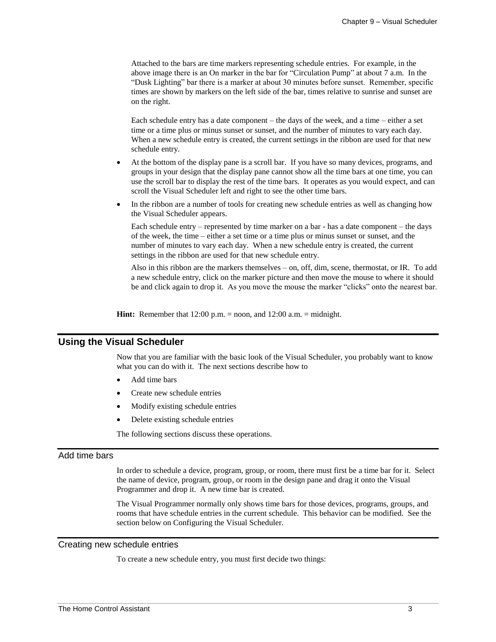Attached to the bars are time markers representing schedule entries. For example, in the above image there is an On marker in the bar for "Circulation Pump" at about 7 a.m. In the "Dusk Lighting" bar there is a marker at about 30 minutes before sunset. Remember, specific times are shown by markers on the left side of the bar, times relative to sunrise and sunset are on the right.

Each schedule entry has a date component – the days of the week, and a time – either a set time or a time plus or minus sunset or sunset, and the number of minutes to vary each day. When a new schedule entry is created, the current settings in the ribbon are used for that new schedule entry.

- At the bottom of the display pane is a scroll bar. If you have so many devices, programs, and groups in your design that the display pane cannot show all the time bars at one time, you can use the scroll bar to display the rest of the time bars. It operates as you would expect, and can scroll the Visual Scheduler left and right to see the other time bars.
- In the ribbon are a number of tools for creating new schedule entries as well as changing how the Visual Scheduler appears.

Each schedule entry – represented by time marker on a bar - has a date component – the days of the week, the time – either a set time or a time plus or minus sunset or sunset, and the number of minutes to vary each day. When a new schedule entry is created, the current settings in the ribbon are used for that new schedule entry.

Also in this ribbon are the markers themselves – on, off, dim, scene, thermostat, or IR. To add a new schedule entry, click on the marker picture and then move the mouse to where it should be and click again to drop it. As you move the mouse the marker "clicks" onto the nearest bar.

**Hint:** Remember that 12:00 p.m. = noon, and 12:00 a.m. = midnight.

### **Using the Visual Scheduler**

Now that you are familiar with the basic look of the Visual Scheduler, you probably want to know what you can do with it. The next sections describe how to

- Add time bars
- Create new schedule entries
- Modify existing schedule entries
- Delete existing schedule entries

The following sections discuss these operations.

### Add time bars

In order to schedule a device, program, group, or room, there must first be a time bar for it. Select the name of device, program, group, or room in the design pane and drag it onto the Visual Programmer and drop it. A new time bar is created.

The Visual Programmer normally only shows time bars for those devices, programs, groups, and rooms that have schedule entries in the current schedule. This behavior can be modified. See the section below on Configuring the Visual Scheduler.

#### Creating new schedule entries

To create a new schedule entry, you must first decide two things: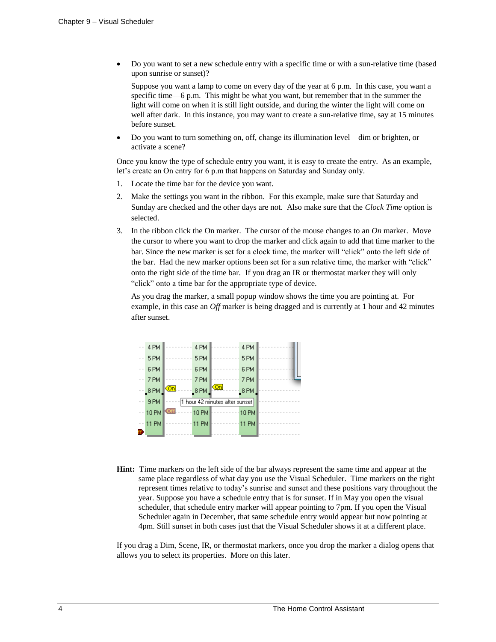• Do you want to set a new schedule entry with a specific time or with a sun-relative time (based upon sunrise or sunset)?

Suppose you want a lamp to come on every day of the year at 6 p.m. In this case, you want a specific time—6 p.m. This might be what you want, but remember that in the summer the light will come on when it is still light outside, and during the winter the light will come on well after dark. In this instance, you may want to create a sun-relative time, say at 15 minutes before sunset.

• Do you want to turn something on, off, change its illumination level – dim or brighten, or activate a scene?

Once you know the type of schedule entry you want, it is easy to create the entry. As an example, let's create an On entry for 6 p.m that happens on Saturday and Sunday only.

- 1. Locate the time bar for the device you want.
- 2. Make the settings you want in the ribbon. For this example, make sure that Saturday and Sunday are checked and the other days are not. Also make sure that the *Clock Time* option is selected.
- 3. In the ribbon click the On marker. The cursor of the mouse changes to an *On* marker. Move the cursor to where you want to drop the marker and click again to add that time marker to the bar. Since the new marker is set for a clock time, the marker will "click" onto the left side of the bar. Had the new marker options been set for a sun relative time, the marker with "click" onto the right side of the time bar. If you drag an IR or thermostat marker they will only "click" onto a time bar for the appropriate type of device.

As you drag the marker, a small popup window shows the time you are pointing at. For example, in this case an *Off* marker is being dragged and is currently at 1 hour and 42 minutes after sunset.

|    | 4 PM         |     | 4 PM         |                                | 4 PM                 |  |
|----|--------------|-----|--------------|--------------------------------|----------------------|--|
|    | 5PM          |     | 5 PM         |                                | 5PM                  |  |
|    | 6 PM         |     | 6 PM         |                                | 6 PM                 |  |
|    | 7 PM         |     | 7 PM         |                                | 7 PM                 |  |
|    | $-8$ PM      | Kon | 8 PM         |                                | $\mathsf{\_8\,PM}$ , |  |
|    | 9 PM         |     |              | 1 hour 42 minutes after sunset |                      |  |
|    | <b>10 PM</b> | Off | <b>10 PM</b> |                                | <b>10 PM</b>         |  |
|    | <b>11 PM</b> |     | 11 PM        |                                | 11 PM                |  |
| Ű. |              |     |              |                                |                      |  |

**Hint:** Time markers on the left side of the bar always represent the same time and appear at the same place regardless of what day you use the Visual Scheduler. Time markers on the right represent times relative to today's sunrise and sunset and these positions vary throughout the year. Suppose you have a schedule entry that is for sunset. If in May you open the visual scheduler, that schedule entry marker will appear pointing to 7pm. If you open the Visual Scheduler again in December, that same schedule entry would appear but now pointing at 4pm. Still sunset in both cases just that the Visual Scheduler shows it at a different place.

If you drag a Dim, Scene, IR, or thermostat markers, once you drop the marker a dialog opens that allows you to select its properties. More on this later.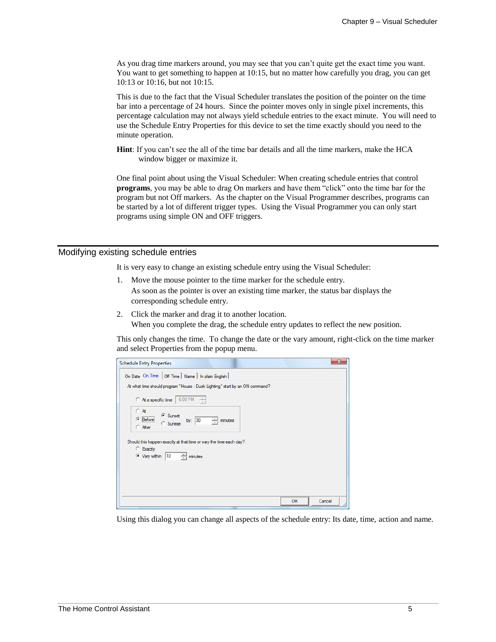As you drag time markers around, you may see that you can't quite get the exact time you want. You want to get something to happen at 10:15, but no matter how carefully you drag, you can get 10:13 or 10:16, but not 10:15.

This is due to the fact that the Visual Scheduler translates the position of the pointer on the time bar into a percentage of 24 hours. Since the pointer moves only in single pixel increments, this percentage calculation may not always yield schedule entries to the exact minute. You will need to use the Schedule Entry Properties for this device to set the time exactly should you need to the minute operation.

**Hint**: If you can't see the all of the time bar details and all the time markers, make the HCA window bigger or maximize it.

One final point about using the Visual Scheduler: When creating schedule entries that control **programs**, you may be able to drag On markers and have them "click" onto the time bar for the program but not Off markers. As the chapter on the Visual Programmer describes, programs can be started by a lot of different trigger types. Using the Visual Programmer you can only start programs using simple ON and OFF triggers.

#### Modifying existing schedule entries

It is very easy to change an existing schedule entry using the Visual Scheduler:

- 1. Move the mouse pointer to the time marker for the schedule entry. As soon as the pointer is over an existing time marker, the status bar displays the corresponding schedule entry.
- 2. Click the marker and drag it to another location. When you complete the drag, the schedule entry updates to reflect the new position.

This only changes the time. To change the date or the vary amount, right-click on the time marker and select Properties from the popup menu.

| <b>Schedule Entry Properties</b>                                                                                                   | $\mathbf{x}$ |
|------------------------------------------------------------------------------------------------------------------------------------|--------------|
| On Date On Time   Off Time   Name   In plain English                                                                               |              |
| At what time should program "House - Dusk Lighting" start by an ON command?                                                        |              |
| 6:00 PM<br>$C$ At a specific time                                                                                                  |              |
| $\subset A$ t<br>C Sunset<br><br>$\subseteq$ [Before]<br>by: $ 30 $<br>÷<br>minutes<br>C Sunrise<br>C After                        |              |
| Should this happen exactly at that time or vary the time each day?<br>C Exactly<br>$ 10\rangle$<br>$\div$ minutes<br>C Vary within |              |
| OK                                                                                                                                 | Cancel       |

Using this dialog you can change all aspects of the schedule entry: Its date, time, action and name.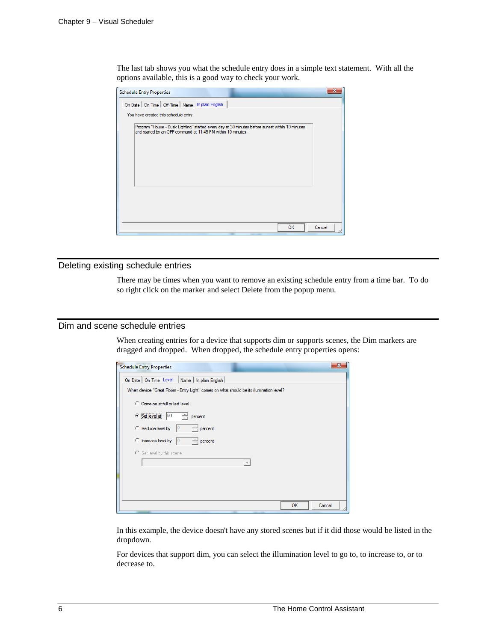The last tab shows you what the schedule entry does in a simple text statement. With all the options available, this is a good way to check your work.

| <b>Schedule Entry Properties</b>                                                                                                                                |        |  |
|-----------------------------------------------------------------------------------------------------------------------------------------------------------------|--------|--|
| On Date   On Time   Off Time   Name   In plain English                                                                                                          |        |  |
| You have created this schedule entry:                                                                                                                           |        |  |
| Program "House - Dusk Lighting" started every day at 30 minutes before sunset within 10 minutes<br>and started by an OFF command at 11:45 PM within 10 minutes. |        |  |
|                                                                                                                                                                 |        |  |
| <b>OK</b>                                                                                                                                                       | Cancel |  |

#### Deleting existing schedule entries

There may be times when you want to remove an existing schedule entry from a time bar. To do so right click on the marker and select Delete from the popup menu.

## Dim and scene schedule entries

When creating entries for a device that supports dim or supports scenes, the Dim markers are dragged and dropped. When dropped, the schedule entry properties opens:

| <b>Schedule Entry Properties</b>                                                       | $\overline{\mathbf{x}}$ |
|----------------------------------------------------------------------------------------|-------------------------|
| On Date   On Time Level   Name   In plain English                                      |                         |
| When device "Great Room - Entry Light" comes on what should be its illumination level? |                         |
| C Come on at full or last level                                                        |                         |
| $\circ$ Set level at<br>50<br>percent                                                  |                         |
| $\div$<br>Reduce level by<br>percent                                                   |                         |
| C Increase level by<br>percent<br>10                                                   |                         |
| Set level by this scene                                                                |                         |
|                                                                                        |                         |
|                                                                                        |                         |
|                                                                                        |                         |
|                                                                                        |                         |
| OK<br>Cancel                                                                           |                         |

In this example, the device doesn't have any stored scenes but if it did those would be listed in the dropdown.

For devices that support dim, you can select the illumination level to go to, to increase to, or to decrease to.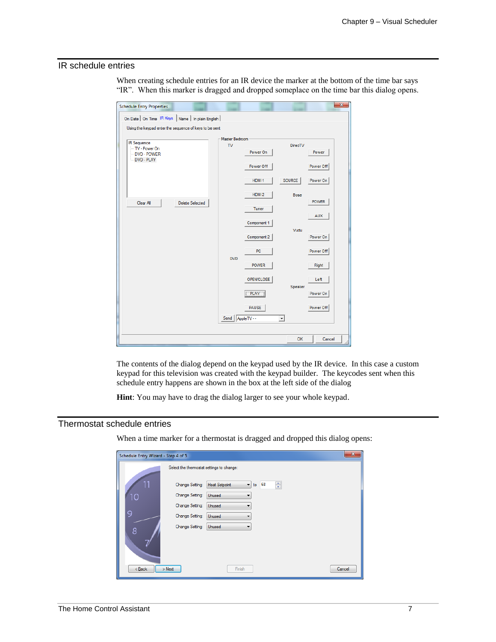## IR schedule entries

When creating schedule entries for an IR device the marker at the bottom of the time bar says "IR". When this marker is dragged and dropped someplace on the time bar this dialog opens.

| <b>Schedule Entry Properties</b>                       |                    |                   |                     | $\mathbf{x}$ |
|--------------------------------------------------------|--------------------|-------------------|---------------------|--------------|
| On Date   On Time IR Keys   Name   In plain English    |                    |                   |                     |              |
| Using the keypad enter the sequence of keys to be sent |                    |                   |                     |              |
|                                                        | Master Bedroom     |                   |                     |              |
| <b>IR Sequence</b><br>TV - Power On<br>DVD - POWER     | $\mathbf{v}$       | Power On          | <b>DirecTV</b>      | Power        |
| DVD - PLAY                                             |                    | Power Off         |                     | Power Off    |
|                                                        |                    | HDMI <sub>1</sub> | SOURCE              | Power On     |
|                                                        |                    | HDMI <sub>2</sub> | <b>Bose</b>         | <b>POWER</b> |
| Clear All<br><b>Delete Selected</b>                    |                    | <b>Tuner</b>      |                     |              |
|                                                        |                    | Component 1       |                     | <b>AUX</b>   |
|                                                        |                    | Component 2       | Vudu                | Power On     |
|                                                        | <b>DVD</b>         | PC.               |                     | Power Off    |
|                                                        |                    | <b>POWER</b>      |                     | Right        |
|                                                        |                    | OPEN/CLOSE        | Speaker             | Left         |
|                                                        |                    | <b>PLAY</b>       |                     | Power On     |
|                                                        |                    | <b>PAUSE</b>      |                     | Power Off    |
|                                                        | Send   AppleTV - - |                   | $\vert \cdot \vert$ |              |
|                                                        |                    |                   | <b>OK</b>           | Cancel       |

The contents of the dialog depend on the keypad used by the IR device. In this case a custom keypad for this television was created with the keypad builder. The keycodes sent when this schedule entry happens are shown in the box at the left side of the dialog

**Hint**: You may have to drag the dialog larger to see your whole keypad.

## Thermostat schedule entries

When a time marker for a thermostat is dragged and dropped this dialog opens:

| Schedule Entry Wizard - Step 4 of 5 |                                                                                      | $\mathbf{x}$ |
|-------------------------------------|--------------------------------------------------------------------------------------|--------------|
|                                     | Select the thermostat settings to change:                                            |              |
|                                     | ÷<br>68<br><b>Heat Setpoint</b><br>Change Setting:<br>$\overline{\phantom{a}}$<br>to |              |
| 10                                  | Change Setting:<br>Unused<br>▼                                                       |              |
|                                     | Change Setting:<br>Unused<br>▼                                                       |              |
| 9                                   | Change Setting:<br>Unused                                                            |              |
| 8                                   | Change Setting:<br>Unused                                                            |              |
| $<$ Back                            | $>$ Next<br>Finish                                                                   | Cancel       |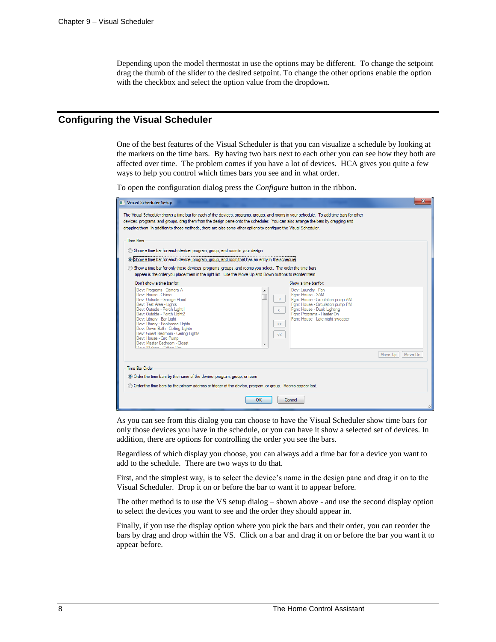Depending upon the model thermostat in use the options may be different. To change the setpoint drag the thumb of the slider to the desired setpoint. To change the other options enable the option with the checkbox and select the option value from the dropdown.

# **Configuring the Visual Scheduler**

One of the best features of the Visual Scheduler is that you can visualize a schedule by looking at the markers on the time bars. By having two bars next to each other you can see how they both are affected over time. The problem comes if you have a lot of devices. HCA gives you quite a few ways to help you control which times bars you see and in what order.

To open the configuration dialog press the *Configure* button in the ribbon.

| Time Bars<br>Show a time bar for each device, program, group, and room in your design<br>. Show a time bar for each device, program, group, and room that has an entry in the schedule<br>Show a time bar for only those devices, programs, groups, and rooms you select. The order the time bars<br>appear is the order you place them in the right list. Use the Move Up and Down buttons to reorder them. |                          |                                                                                                                                                                                        |                    |
|--------------------------------------------------------------------------------------------------------------------------------------------------------------------------------------------------------------------------------------------------------------------------------------------------------------------------------------------------------------------------------------------------------------|--------------------------|----------------------------------------------------------------------------------------------------------------------------------------------------------------------------------------|--------------------|
| Don't show a time bar for:<br>Dev: Programs - Camera A                                                                                                                                                                                                                                                                                                                                                       | ۸                        | Show a time bar for:<br>Dev: Laundry - Fan                                                                                                                                             |                    |
| Dev: House - Chime<br>Dev: Outside - Garage Flood<br>Dev: Test Area - Lights<br>Dev: Outside - Porch Light1<br>Dev: Outside - Porch Light2<br>Dev: Library - Bar Light<br>Dev: Library - Bookcase Lights<br>Dev: Down Bath - Ceiling Lights<br>Dev: Guest Bedroom - Ceiling Lights                                                                                                                           | $\rightarrow$<br>÷.<br>> | Pam: House - 3AM<br>Pam: House - Circulation pump AM<br>Pam: House - Circulation pump PM<br>Pam: House - Dusk Lighting<br>Pam: Programs - Heater On<br>Pam: House - Late night sweeper |                    |
| Dev: House - Circ Pump<br>Dev: Master Bedroom - Closet<br>Darrich Called Called Day                                                                                                                                                                                                                                                                                                                          | <<                       |                                                                                                                                                                                        | Move Dn<br>Move Up |
| Time Bar Order                                                                                                                                                                                                                                                                                                                                                                                               |                          |                                                                                                                                                                                        |                    |

As you can see from this dialog you can choose to have the Visual Scheduler show time bars for only those devices you have in the schedule, or you can have it show a selected set of devices. In addition, there are options for controlling the order you see the bars.

Regardless of which display you choose, you can always add a time bar for a device you want to add to the schedule. There are two ways to do that.

First, and the simplest way, is to select the device's name in the design pane and drag it on to the Visual Scheduler. Drop it on or before the bar to want it to appear before.

The other method is to use the VS setup dialog – shown above - and use the second display option to select the devices you want to see and the order they should appear in.

Finally, if you use the display option where you pick the bars and their order, you can reorder the bars by drag and drop within the VS. Click on a bar and drag it on or before the bar you want it to appear before.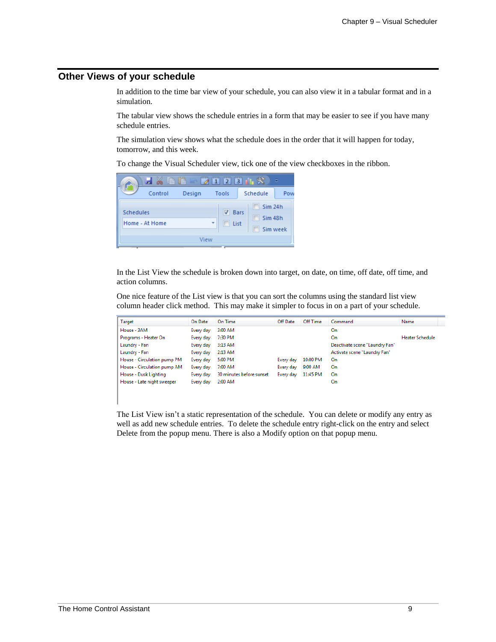# **Other Views of your schedule**

In addition to the time bar view of your schedule, you can also view it in a tabular format and in a simulation.

The tabular view shows the schedule entries in a form that may be easier to see if you have many schedule entries.

The simulation view shows what the schedule does in the order that it will happen for today, tomorrow, and this week.

To change the Visual Scheduler view, tick one of the view checkboxes in the ribbon.

| 圕                                  | 昏<br>ra | $\overline{2}$<br>$\mathbf{1}$ | ುಲ<br>$\overline{3}$                                 | σ        |
|------------------------------------|---------|--------------------------------|------------------------------------------------------|----------|
| Control                            | Design  | Tools                          | Schedule                                             | Pow      |
| <b>Schedules</b><br>Home - At Home |         | $\overline{v}$<br>÷<br>п       | Sim <sub>24h</sub><br><b>Bars</b><br>Sim 48h<br>List | Sim week |
|                                    | View    |                                |                                                      |          |

In the List View the schedule is broken down into target, on date, on time, off date, off time, and action columns.

One nice feature of the List view is that you can sort the columns using the standard list view column header click method. This may make it simpler to focus in on a part of your schedule.

| Target                      | On Date   | On Time                  | Off Date  | Off Time | Command                        | Name            |
|-----------------------------|-----------|--------------------------|-----------|----------|--------------------------------|-----------------|
| House - 3AM                 | Every day | 3:00 AM                  |           |          | On                             |                 |
| Programs - Heater On        | Every day | 7:30 PM                  |           |          | On                             | Heater Schedule |
| Laundry - Fan               | Every day | 3:13 AM                  |           |          | Deactivate scene "Laundry Fan" |                 |
| Laundry - Fan               | Every day | 2:13 AM                  |           |          | Activate scene "Laundry Fan"   |                 |
| House - Circulation pump PM | Every day | 5:00 PM                  | Every day | 10:00 PM | On                             |                 |
| House - Circulation pump AM | Every day | 7:00 AM                  | Every day | 9:00 AM  | On                             |                 |
| House - Dusk Lighting       | Every day | 30 minutes before sunset | Every day | 11:45 PM | On                             |                 |
| House - Late night sweeper  | Every day | 2:00 AM                  |           |          | On                             |                 |

The List View isn't a static representation of the schedule. You can delete or modify any entry as well as add new schedule entries. To delete the schedule entry right-click on the entry and select Delete from the popup menu. There is also a Modify option on that popup menu.